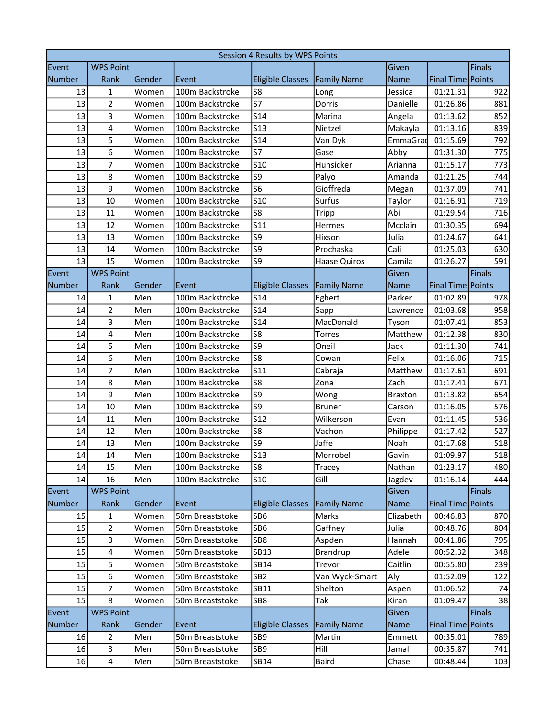| Session 4 Results by WPS Points |                  |        |                 |                         |                    |                |                     |        |
|---------------------------------|------------------|--------|-----------------|-------------------------|--------------------|----------------|---------------------|--------|
| Event                           | <b>WPS Point</b> |        |                 |                         |                    | Given          |                     | Finals |
| <b>Number</b>                   | Rank             | Gender | Event           | <b>Eligible Classes</b> | <b>Family Name</b> | Name           | Final Time Points   |        |
| 13                              | 1                | Women  | 100m Backstroke | S8                      | Long               | Jessica        | 01:21.31            | 922    |
| 13                              | $\overline{2}$   | Women  | 100m Backstroke | S7                      | Dorris             | Danielle       | 01:26.86            | 881    |
| 13                              | 3                | Women  | 100m Backstroke | <b>S14</b>              | Marina             | Angela         | 01:13.62            | 852    |
| 13                              | 4                | Women  | 100m Backstroke | <b>S13</b>              | Nietzel            | Makayla        | 01:13.16            | 839    |
| 13                              | 5                | Women  | 100m Backstroke | S14                     | Van Dyk            | EmmaGrad       | 01:15.69            | 792    |
| 13                              | 6                | Women  | 100m Backstroke | S7                      | Gase               | Abby           | 01:31.30            | 775    |
| 13                              | $\overline{7}$   | Women  | 100m Backstroke | S <sub>10</sub>         | Hunsicker          | Arianna        | 01:15.17            | 773    |
| 13                              | 8                | Women  | 100m Backstroke | S9                      | Palyo              | Amanda         | 01:21.25            | 744    |
| 13                              | 9                | Women  | 100m Backstroke | S <sub>6</sub>          | Gioffreda          | Megan          | 01:37.09            | 741    |
| 13                              | 10               | Women  | 100m Backstroke | S <sub>10</sub>         | Surfus             | Taylor         | 01:16.91            | 719    |
| 13                              | 11               | Women  | 100m Backstroke | S8                      | Tripp              | Abi            | 01:29.54            | 716    |
| 13                              | 12               | Women  | 100m Backstroke | S11                     | Hermes             | Mcclain        | 01:30.35            | 694    |
| 13                              | 13               | Women  | 100m Backstroke | S9                      | Hixson             | Julia          | 01:24.67            | 641    |
| 13                              | 14               | Women  | 100m Backstroke | S <sub>9</sub>          | Prochaska          | Cali           | 01:25.03            | 630    |
| 13                              | 15               | Women  | 100m Backstroke | S9                      | Haase Quiros       | Camila         | 01:26.27            | 591    |
| Event                           | <b>WPS Point</b> |        |                 |                         |                    | Given          |                     | Finals |
| <b>Number</b>                   | Rank             | Gender | Event           | <b>Eligible Classes</b> | <b>Family Name</b> | <b>Name</b>    | Final Time Points   |        |
| 14                              | 1                | Men    | 100m Backstroke | <b>S14</b>              | Egbert             | Parker         | 01:02.89            | 978    |
| 14                              | $\overline{2}$   | Men    | 100m Backstroke | S14                     | Sapp               | Lawrence       | 01:03.68            | 958    |
| 14                              | 3                | Men    | 100m Backstroke | <b>S14</b>              | MacDonald          | Tyson          | 01:07.41            | 853    |
| 14                              | 4                | Men    | 100m Backstroke | S8                      | Torres             | Matthew        | 01:12.38            | 830    |
| 14                              | 5                | Men    | 100m Backstroke | S <sub>9</sub>          | Oneil              | Jack           | 01:11.30            | 741    |
| 14                              | 6                | Men    | 100m Backstroke | S8                      | Cowan              | Felix          | 01:16.06            | 715    |
| 14                              | $\overline{7}$   | Men    | 100m Backstroke | <b>S11</b>              | Cabraja            | Matthew        | 01:17.61            | 691    |
| 14                              | 8                | Men    | 100m Backstroke | S8                      | Zona               | Zach           | 01:17.41            | 671    |
| 14                              | 9                | Men    | 100m Backstroke | S9                      | Wong               | <b>Braxton</b> | 01:13.82            | 654    |
| 14                              | 10               | Men    | 100m Backstroke | S9                      | <b>Bruner</b>      | Carson         | 01:16.05            | 576    |
| 14                              | 11               | Men    | 100m Backstroke | S12                     | Wilkerson          | Evan           | 01:11.45            | 536    |
| 14                              | 12               | Men    | 100m Backstroke | S8                      | Vachon             | Philippe       | 01:17.42            | 527    |
| 14                              | 13               | Men    | 100m Backstroke | S <sub>9</sub>          | Jaffe              | Noah           | 01:17.68            | 518    |
| $14\,$                          | $14\,$           | Men    | 100m Backstroke | <b>S13</b>              | Morrobel           | Gavin          | 01:09.97            | 518    |
| 14                              | 15               | Men    | 100m Backstroke | S8                      | Tracey             | Nathan         | 01:23.17            | 480    |
| 14                              | 16               | Men    | 100m Backstroke | <b>S10</b>              | Gill               | Jagdev         | 01:16.14            | 444    |
| Event                           | <b>WPS Point</b> |        |                 |                         |                    | Given          |                     | Finals |
| <b>Number</b>                   | Rank             | Gender | Event           | <b>Eligible Classes</b> | <b>Family Name</b> | <b>Name</b>    | Final Time Points   |        |
| 15                              | $\mathbf{1}$     | Women  | 50m Breaststoke | SB6                     | Marks              | Elizabeth      | 00:46.83            | 870    |
| 15                              | $\overline{2}$   | Women  | 50m Breaststoke | SB6                     | Gaffney            | Julia          | 00:48.76            | 804    |
| 15                              | 3                | Women  | 50m Breaststoke | SB8                     | Aspden             | Hannah         | 00:41.86            | 795    |
| 15                              | 4                | Women  | 50m Breaststoke | <b>SB13</b>             | Brandrup           | Adele          | 00:52.32            | 348    |
| 15                              | 5                | Women  | 50m Breaststoke | <b>SB14</b>             | Trevor             | Caitlin        | 00:55.80            | 239    |
| 15                              | 6                | Women  | 50m Breaststoke | SB <sub>2</sub>         | Van Wyck-Smart     | Aly            | 01:52.09            | 122    |
| 15                              | $\overline{7}$   | Women  | 50m Breaststoke | SB11                    | Shelton            | Aspen          | 01:06.52            | 74     |
| 15                              | 8                | Women  | 50m Breaststoke | SB8                     | Tak                | Kiran          | 01:09.47            | 38     |
| Event                           | <b>WPS Point</b> |        |                 |                         |                    | Given          |                     | Finals |
| Number                          | Rank             | Gender | Event           | <b>Eligible Classes</b> | <b>Family Name</b> | <b>Name</b>    | Final Time   Points |        |
| 16                              | $\overline{2}$   | Men    | 50m Breaststoke | SB9                     | Martin             | Emmett         | 00:35.01            | 789    |
| 16                              | 3                | Men    | 50m Breaststoke | SB9                     | Hill               | Jamal          | 00:35.87            | 741    |
| 16                              | 4                | Men    | 50m Breaststoke | <b>SB14</b>             | <b>Baird</b>       | Chase          | 00:48.44            | 103    |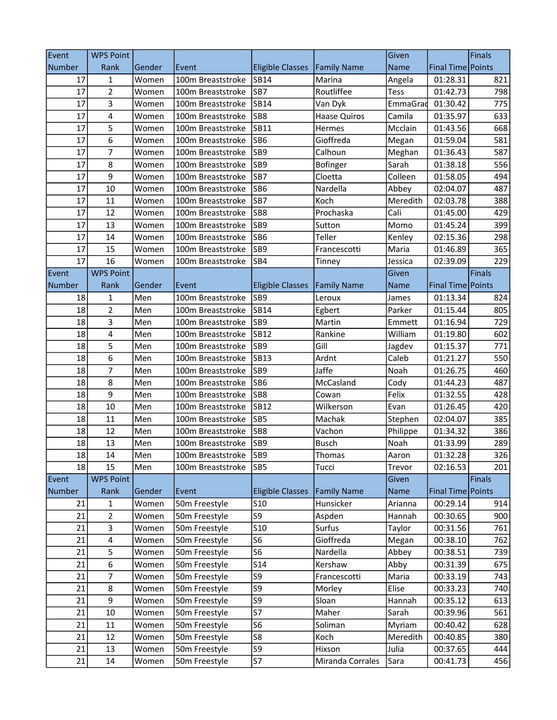| Event         | <b>WPS Point</b> |        |                   |                         |                     | Given       |                     | Finals |
|---------------|------------------|--------|-------------------|-------------------------|---------------------|-------------|---------------------|--------|
| <b>Number</b> | Rank             | Gender | Event             | <b>Eligible Classes</b> | <b>Family Name</b>  | <b>Name</b> | Final Time Points   |        |
| 17            | 1                | Women  | 100m Breaststroke | <b>SB14</b>             | Marina              | Angela      | 01:28.31            | 821    |
| 17            | $\mathbf 2$      | Women  | 100m Breaststroke | SB7                     | Routliffee          | Tess        | 01:42.73            | 798    |
| 17            | 3                | Women  | 100m Breaststroke | <b>SB14</b>             | Van Dyk             | EmmaGrad    | 01:30.42            | 775    |
| 17            | $\pmb{4}$        | Women  | 100m Breaststroke | SB <sub>8</sub>         | <b>Haase Quiros</b> | Camila      | 01:35.97            | 633    |
| 17            | 5                | Women  | 100m Breaststroke | SB11                    | Hermes              | Mcclain     | 01:43.56            | 668    |
| 17            | 6                | Women  | 100m Breaststroke | SB <sub>6</sub>         | Gioffreda           | Megan       | 01:59.04            | 581    |
| 17            | $\overline{7}$   | Women  | 100m Breaststroke | SB <sub>9</sub>         | Calhoun             | Meghan      | 01:36.43            | 587    |
| 17            | 8                | Women  | 100m Breaststroke | SB <sub>9</sub>         | Bofinger            | Sarah       | 01:38.18            | 556    |
| 17            | 9                | Women  | 100m Breaststroke | SB7                     | Cloetta             | Colleen     | 01:58.05            | 494    |
| 17            | 10               | Women  | 100m Breaststroke | SB <sub>6</sub>         | Nardella            | Abbey       | 02:04.07            | 487    |
| 17            | 11               | Women  | 100m Breaststroke | SB7                     | Koch                | Meredith    | 02:03.78            | 388    |
| 17            | 12               | Women  | 100m Breaststroke | SB <sub>8</sub>         | Prochaska           | Cali        | 01:45.00            | 429    |
| 17            | 13               | Women  | 100m Breaststroke | SB <sub>9</sub>         | Sutton              | Momo        | 01:45.24            | 399    |
| 17            | 14               | Women  | 100m Breaststroke | SB <sub>6</sub>         | Teller              | Kenley      | 02:15.36            | 298    |
| 17            | 15               | Women  | 100m Breaststroke | SB <sub>9</sub>         | Francescotti        | Maria       | 01:46.89            | 365    |
| 17            | 16               | Women  | 100m Breaststroke | SB4                     | Tinney              | Jessica     | 02:39.09            | 229    |
| Event         | <b>WPS Point</b> |        |                   |                         |                     | Given       |                     | Finals |
| <b>Number</b> | Rank             | Gender | Event             | <b>Eligible Classes</b> | <b>Family Name</b>  | <b>Name</b> | Final Time Points   |        |
| 18            | 1                | Men    | 100m Breaststroke | SB <sub>9</sub>         | Leroux              | James       | 01:13.34            | 824    |
| 18            | $\overline{2}$   | Men    | 100m Breaststroke | <b>SB14</b>             | Egbert              | Parker      | 01:15.44            | 805    |
| 18            | 3                | Men    | 100m Breaststroke | SB <sub>9</sub>         | Martin              | Emmett      | 01:16.94            | 729    |
| 18            | $\pmb{4}$        | Men    | 100m Breaststroke | <b>SB12</b>             | Rankine             | William     | 01:19.80            | 602    |
| 18            | 5                | Men    | 100m Breaststroke | SB <sub>9</sub>         | Gill                | Jagdev      | 01:15.37            | 771    |
| 18            | 6                | Men    | 100m Breaststroke | <b>SB13</b>             | Ardnt               | Caleb       | 01:21.27            | 550    |
| 18            | $\overline{7}$   | Men    | 100m Breaststroke | SB <sub>9</sub>         | Jaffe               | Noah        | 01:26.75            | 460    |
| 18            | 8                | Men    | 100m Breaststroke | SB <sub>6</sub>         | McCasland           | Cody        | 01:44.23            | 487    |
| 18            | 9                | Men    | 100m Breaststroke | SB <sub>8</sub>         | Cowan               | Felix       | 01:32.55            | 428    |
| 18            | 10               | Men    | 100m Breaststroke | <b>SB12</b>             | Wilkerson           | Evan        | 01:26.45            | 420    |
| 18            | 11               | Men    | 100m Breaststroke | SB <sub>5</sub>         | Machak              | Stephen     | 02:04.07            | 385    |
| 18            | 12               | Men    | 100m Breaststroke | SB <sub>8</sub>         | Vachon              | Philippe    | 01:34.32            | 386    |
| 18            | 13               | Men    | 100m Breaststroke | SB9                     | <b>Busch</b>        | Noah        | 01:33.99            | 289    |
| 18            | 14               | Men    | 100m Breaststroke | SB9                     | Thomas              | Aaron       | 01:32.28            | 326    |
| 18            | 15               | Men    | 100m Breaststroke | SB5                     | Tucci               | Trevor      | 02:16.53            | 201    |
| Event         | <b>WPS Point</b> |        |                   |                         |                     | Given       |                     | Finals |
| <b>Number</b> | Rank             | Gender | Event             | <b>Eligible Classes</b> | <b>Family Name</b>  | <b>Name</b> | Final Time   Points |        |
| 21            | 1                | Women  | 50m Freestyle     | <b>S10</b>              | Hunsicker           | Arianna     | 00:29.14            | 914    |
| 21            | $\overline{2}$   | Women  | 50m Freestyle     | S9                      | Aspden              | Hannah      | 00:30.65            | 900    |
| 21            | 3                | Women  | 50m Freestyle     | <b>S10</b>              | Surfus              | Taylor      | 00:31.56            | 761    |
| 21            | 4                | Women  | 50m Freestyle     | S <sub>6</sub>          | Gioffreda           | Megan       | 00:38.10            | 762    |
| 21            | 5                | Women  | 50m Freestyle     | S <sub>6</sub>          | Nardella            | Abbey       | 00:38.51            | 739    |
| 21            | 6                | Women  | 50m Freestyle     | <b>S14</b>              | Kershaw             | Abby        | 00:31.39            | 675    |
| 21            | 7                | Women  | 50m Freestyle     | S9                      | Francescotti        | Maria       | 00:33.19            | 743    |
| 21            | 8                | Women  | 50m Freestyle     | S9                      | Morley              | Elise       | 00:33.23            | 740    |
| 21            | 9                | Women  | 50m Freestyle     | S9                      | Sloan               | Hannah      | 00:35.12            | 613    |
| 21            | 10               | Women  | 50m Freestyle     | <b>S7</b>               | Maher               | Sarah       | 00:39.96            | 561    |
| 21            | 11               | Women  | 50m Freestyle     | S <sub>6</sub>          | Soliman             | Myriam      | 00:40.42            | 628    |
| 21            | 12               | Women  | 50m Freestyle     | S8                      | Koch                | Meredith    | 00:40.85            | 380    |
| 21            | 13               | Women  | 50m Freestyle     | S9                      | Hixson              | Julia       | 00:37.65            | 444    |
| 21            | 14               | Women  | 50m Freestyle     | S7                      | Miranda Corrales    | Sara        | 00:41.73            | 456    |